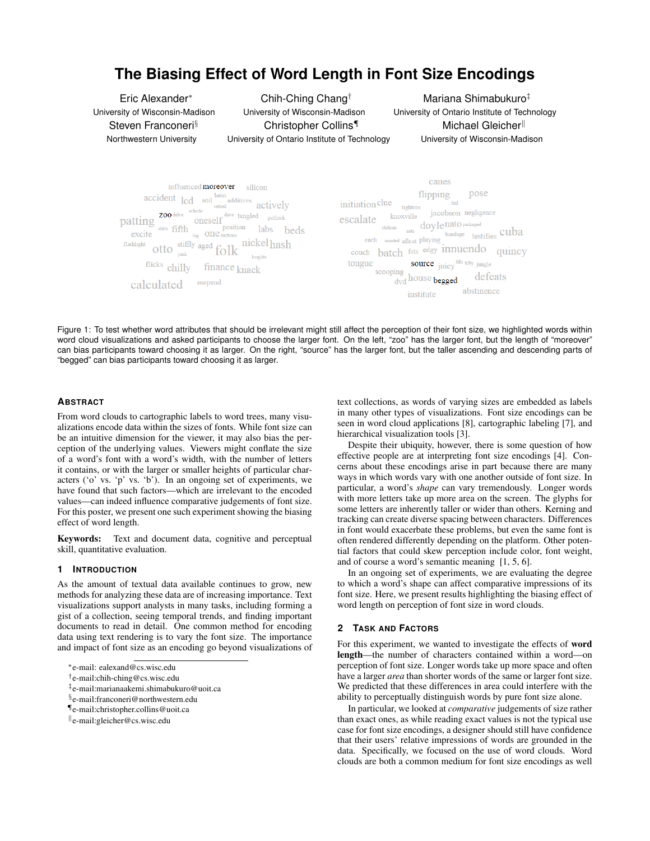# **The Biasing Effect of Word Length in Font Size Encodings**

Eric Alexander<sup>∗</sup> University of Wisconsin-Madison Steven Franconeri<sup>§</sup> Northwestern University

Chih-Ching Chang† University of Wisconsin-Madison Christopher Collins¶ University of Ontario Institute of Technology

Mariana Shimabukuro‡ University of Ontario Institute of Technology Michael Gleicher<sup>ll</sup> University of Wisconsin-Madison



Figure 1: To test whether word attributes that should be irrelevant might still affect the perception of their font size, we highlighted words within word cloud visualizations and asked participants to choose the larger font. On the left, "zoo" has the larger font, but the length of "moreover" can bias participants toward choosing it as larger. On the right, "source" has the larger font, but the taller ascending and descending parts of "begged" can bias participants toward choosing it as larger.

# **ABSTRACT**

From word clouds to cartographic labels to word trees, many visualizations encode data within the sizes of fonts. While font size can be an intuitive dimension for the viewer, it may also bias the perception of the underlying values. Viewers might conflate the size of a word's font with a word's width, with the number of letters it contains, or with the larger or smaller heights of particular characters ('o' vs. 'p' vs. 'b'). In an ongoing set of experiments, we have found that such factors—which are irrelevant to the encoded values—can indeed influence comparative judgements of font size. For this poster, we present one such experiment showing the biasing effect of word length.

Keywords: Text and document data, cognitive and perceptual skill, quantitative evaluation.

## **1 INTRODUCTION**

As the amount of textual data available continues to grow, new methods for analyzing these data are of increasing importance. Text visualizations support analysts in many tasks, including forming a gist of a collection, seeing temporal trends, and finding important documents to read in detail. One common method for encoding data using text rendering is to vary the font size. The importance and impact of font size as an encoding go beyond visualizations of

- ‡ e-mail:marianaakemi.shimabukuro@uoit.ca
- § e-mail:franconeri@northwestern.edu

text collections, as words of varying sizes are embedded as labels in many other types of visualizations. Font size encodings can be seen in word cloud applications [8], cartographic labeling [7], and hierarchical visualization tools [3].

Despite their ubiquity, however, there is some question of how effective people are at interpreting font size encodings [4]. Concerns about these encodings arise in part because there are many ways in which words vary with one another outside of font size. In particular, a word's *shape* can vary tremendously. Longer words with more letters take up more area on the screen. The glyphs for some letters are inherently taller or wider than others. Kerning and tracking can create diverse spacing between characters. Differences in font would exacerbate these problems, but even the same font is often rendered differently depending on the platform. Other potential factors that could skew perception include color, font weight, and of course a word's semantic meaning [1, 5, 6].

In an ongoing set of experiments, we are evaluating the degree to which a word's shape can affect comparative impressions of its font size. Here, we present results highlighting the biasing effect of word length on perception of font size in word clouds.

## **2 TASK AND FACTORS**

For this experiment, we wanted to investigate the effects of word length—the number of characters contained within a word—on perception of font size. Longer words take up more space and often have a larger *area* than shorter words of the same or larger font size. We predicted that these differences in area could interfere with the ability to perceptually distinguish words by pure font size alone.

In particular, we looked at *comparative* judgements of size rather than exact ones, as while reading exact values is not the typical use case for font size encodings, a designer should still have confidence that their users' relative impressions of words are grounded in the data. Specifically, we focused on the use of word clouds. Word clouds are both a common medium for font size encodings as well

<sup>∗</sup> e-mail: ealexand@cs.wisc.edu

<sup>†</sup> e-mail:chih-ching@cs.wisc.edu

<sup>¶</sup>e-mail:christopher.collins@uoit.ca

k e-mail:gleicher@cs.wisc.edu